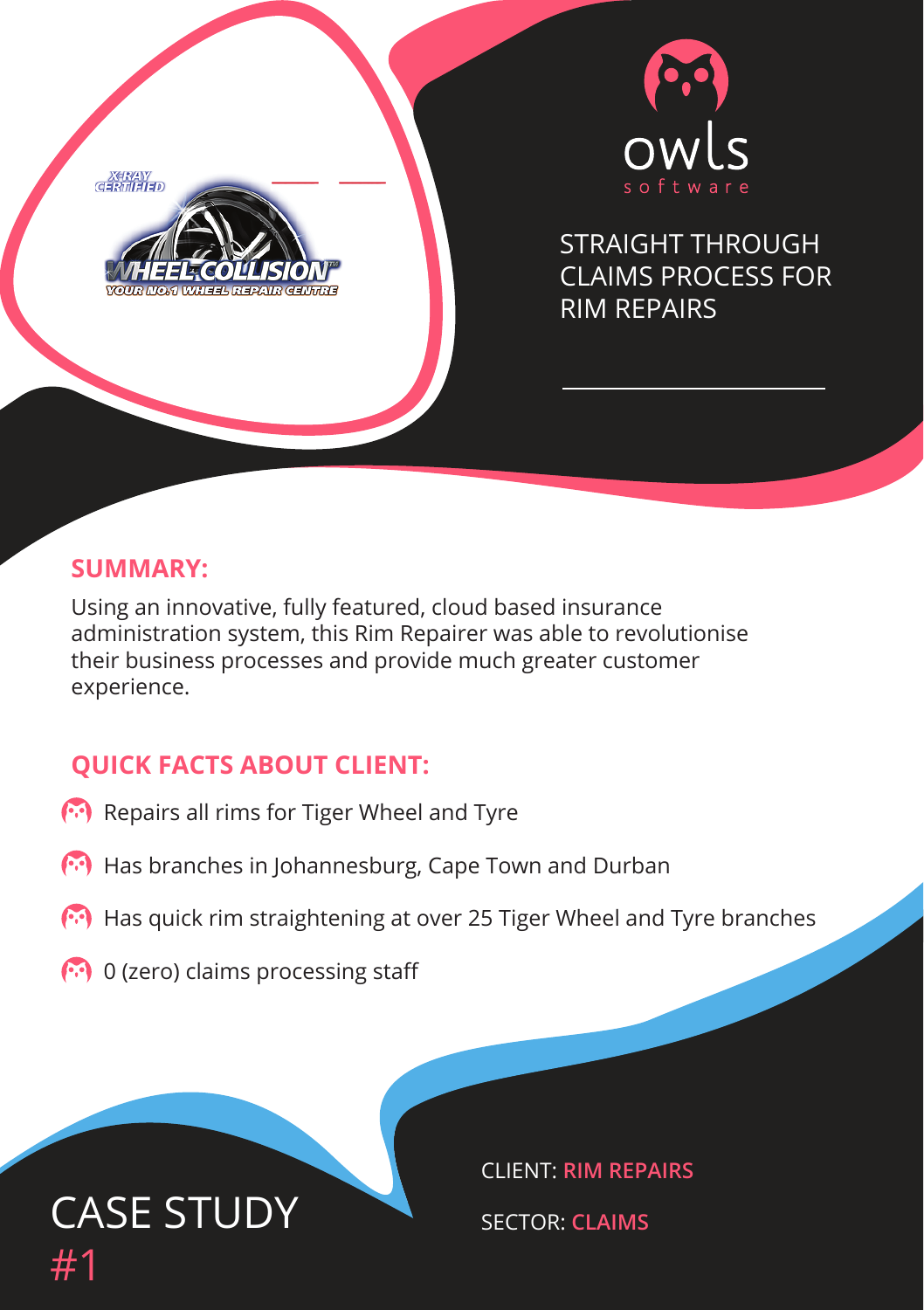$X$ ERAY



STRAIGHT THROUGH CLAIMS PROCESS FOR RIM REPAIRS

#### **SUMMARY:**

Using an innovative, fully featured, cloud based insurance administration system, this Rim Repairer was able to revolutionise their business processes and provide much greater customer experience.

#### **QUICK FACTS ABOUT CLIENT:**

- Repairs all rims for Tiger Wheel and Tyre
- (\*) Has branches in Johannesburg, Cape Town and Durban
- Has quick rim straightening at over 25 Tiger Wheel and Tyre branches
- $\odot$  0 (zero) claims processing staff



CLIENT: **RIM REPAIRS**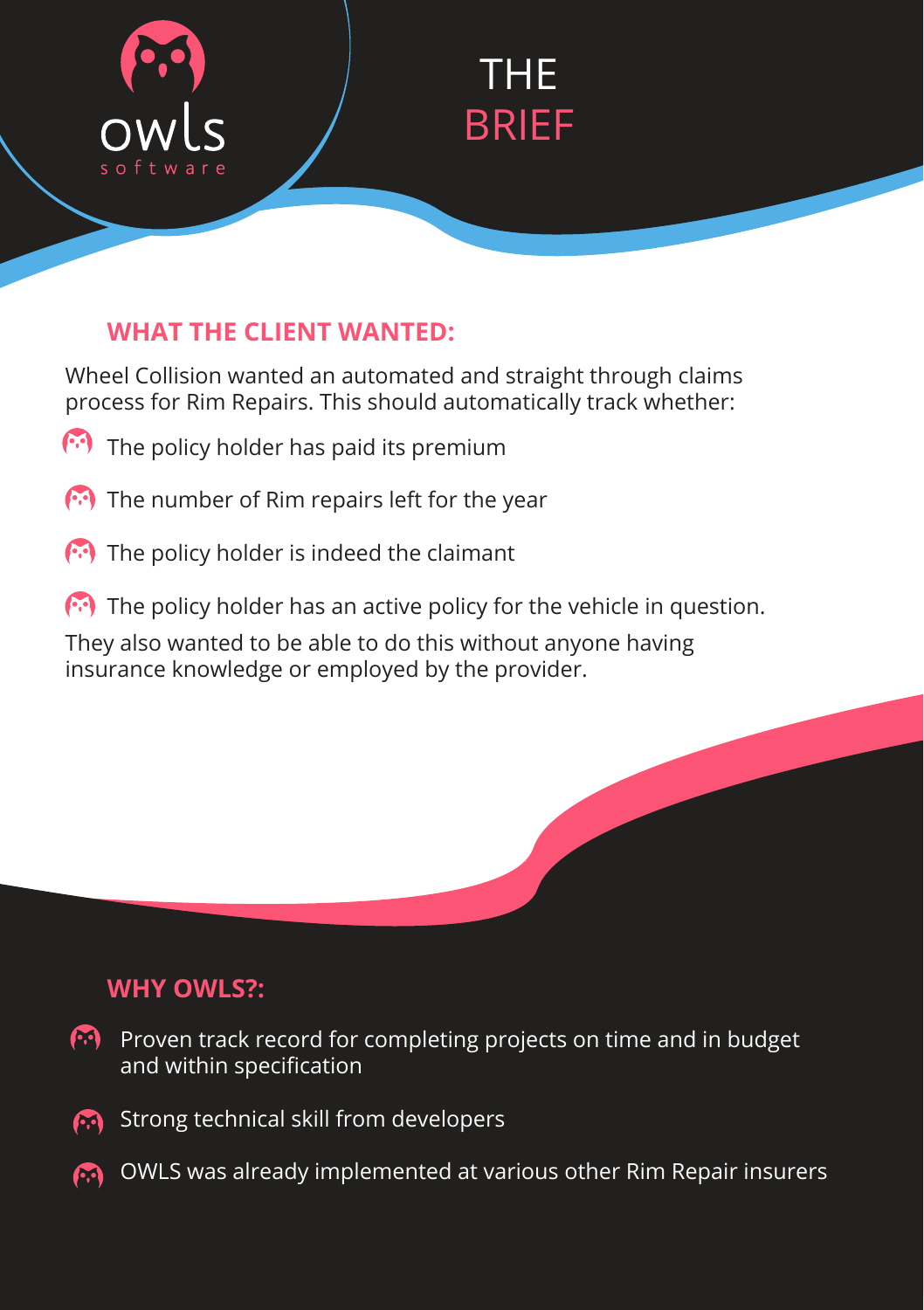

# THE BRIEF

### **WHAT THE CLIENT WANTED:**

Wheel Collision wanted an automated and straight through claims process for Rim Repairs. This should automatically track whether:

- The policy holder has paid its premium
- $\left(\cdot\right)$  The number of Rim repairs left for the year
- The policy holder is indeed the claimant
- $\left(\cdot\right)$  The policy holder has an active policy for the vehicle in question.

They also wanted to be able to do this without anyone having insurance knowledge or employed by the provider.

#### **WHY OWLS?:**

- 69 I Proven track record for completing projects on time and in budget and within specification
- Strong technical skill from developers m.
- OWLS was already implemented at various other Rim Repair insurersM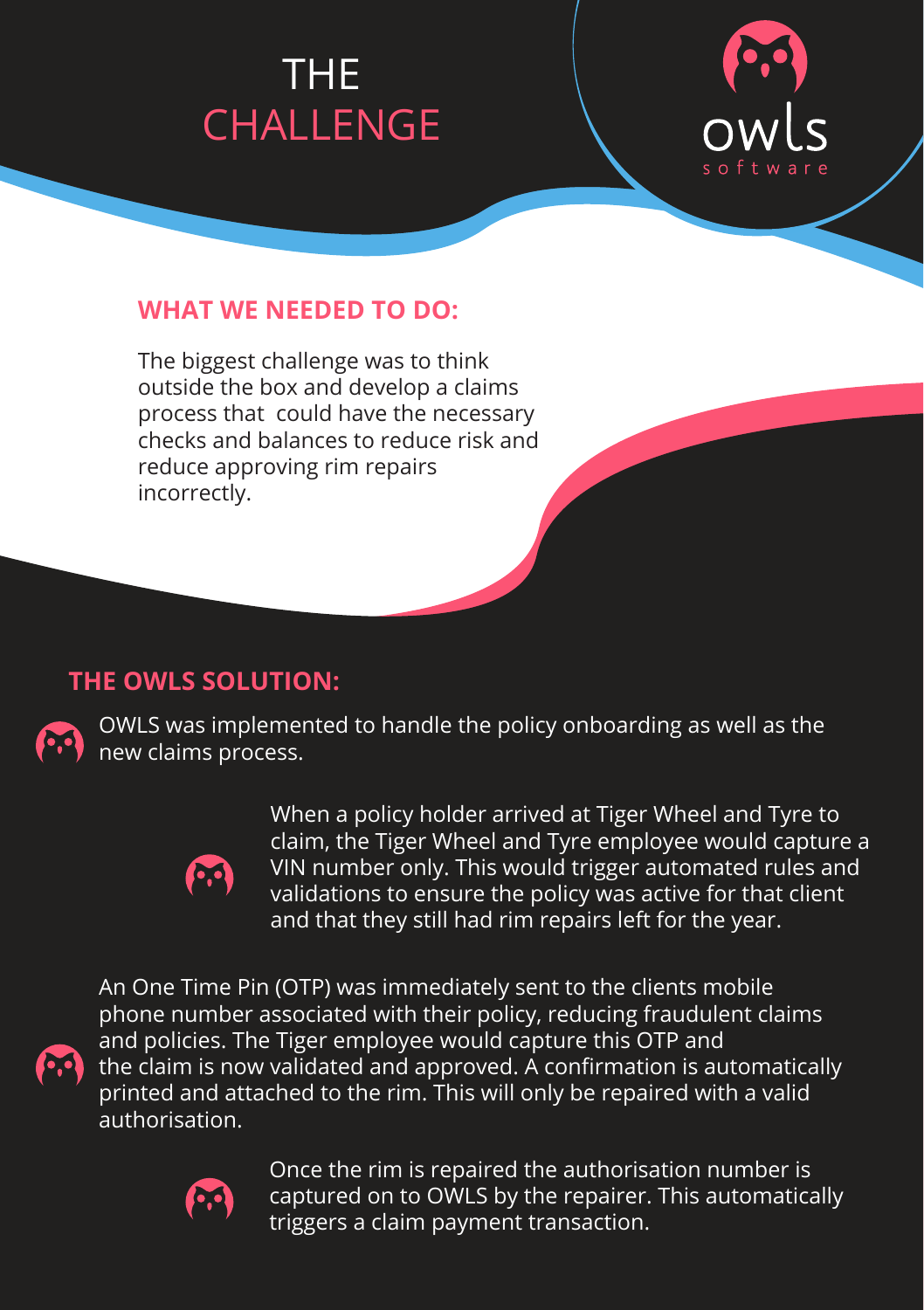# CHALLENGE CHALLENGE THE THE CHALLENGE CHALLENGE



#### **WHAT WE NEEDED TO DO:**

The biggest challenge was to think outside the box and develop a claims process that could have the necessary checks and balances to reduce risk and reduce approving rim repairs incorrectly.

#### **THE OWLS SOLUTION:**



OWLS was implemented to handle the policy onboarding as well as the new claims process.



When a policy holder arrived at Tiger Wheel and Tyre to claim, the Tiger Wheel and Tyre employee would capture a VIN number only. This would trigger automated rules and validations to ensure the policy was active for that client and that they still had rim repairs left for the year.

An One Time Pin (OTP) was immediately sent to the clients mobile phone number associated with their policy, reducing fraudulent claims and policies. The Tiger employee would capture this OTP and the claim is now validated and approved. A confirmation is automatically printed and attached to the rim. This will only be repaired with a valid authorisation.



Once the rim is repaired the authorisation number is captured on to OWLS by the repairer. This automatically triggers a claim payment transaction.